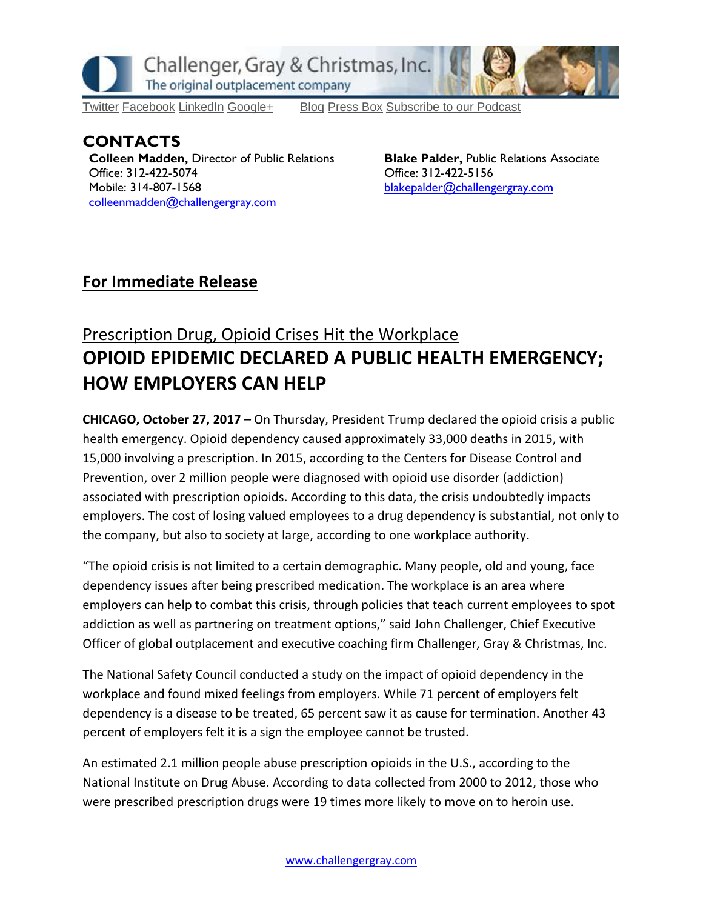

[Twitter](https://twitter.com/#!/ChallengerGray) [Facebook](https://www.facebook.com/ChallengerGray) [LinkedIn](http://www.linkedin.com/company/28264?trk=tyah) [Google+](https://plus.google.com/b/114363499979264115698/114363499979264115698) [Blog](http://www.challengergray.com/press/blog) [Press](http://www.challengergray.com/press/press-releases) Box [Subscribe](https://itunes.apple.com/us/podcast/challenger-podcast-hr-passport/id1155541697?mt=2) to our Podcast

**CONTACTS Colleen Madden, Director of Public Relations Office: 312-422-5074 Mobile: 314-807-1568 [colleenmadden@challengergray.com](mailto:colleenmadden@challengergray.com)**

**Blake Palder, Public Relations Associate Office: 312-422-5156 [blakepalder@challengergray.com](mailto:blakepalder@challengergray.com)**

## **For Immediate Release**

## Prescription Drug, Opioid Crises Hit the Workplace **OPIOID EPIDEMIC DECLARED A PUBLIC HEALTH EMERGENCY; HOW EMPLOYERS CAN HELP**

**CHICAGO, October 27, 2017** – On Thursday, President Trump declared the opioid crisis a public health emergency. Opioid dependency caused approximately 33,000 deaths in 2015, with 15,000 involving a prescription. In 2015, according to the Centers for Disease Control and Prevention, over 2 million people were diagnosed with opioid use disorder (addiction) associated with prescription opioids. According to this data, the crisis undoubtedly impacts employers. The cost of losing valued employees to a drug dependency is substantial, not only to the company, but also to society at large, according to one workplace authority.

"The opioid crisis is not limited to a certain demographic. Many people, old and young, face dependency issues after being prescribed medication. The workplace is an area where employers can help to combat this crisis, through policies that teach current employees to spot addiction as well as partnering on treatment options," said John Challenger, Chief Executive Officer of global outplacement and executive coaching firm Challenger, Gray & Christmas, Inc.

The National Safety Council conducted a study on the impact of opioid dependency in the workplace and found mixed feelings from employers. While 71 percent of employers felt dependency is a disease to be treated, 65 percent saw it as cause for termination. Another 43 percent of employers felt it is a sign the employee cannot be trusted.

An estimated 2.1 million people abuse prescription opioids in the U.S., according to the National Institute on Drug Abuse. According to data collected from 2000 to 2012, those who were prescribed prescription drugs were 19 times more likely to move on to heroin use.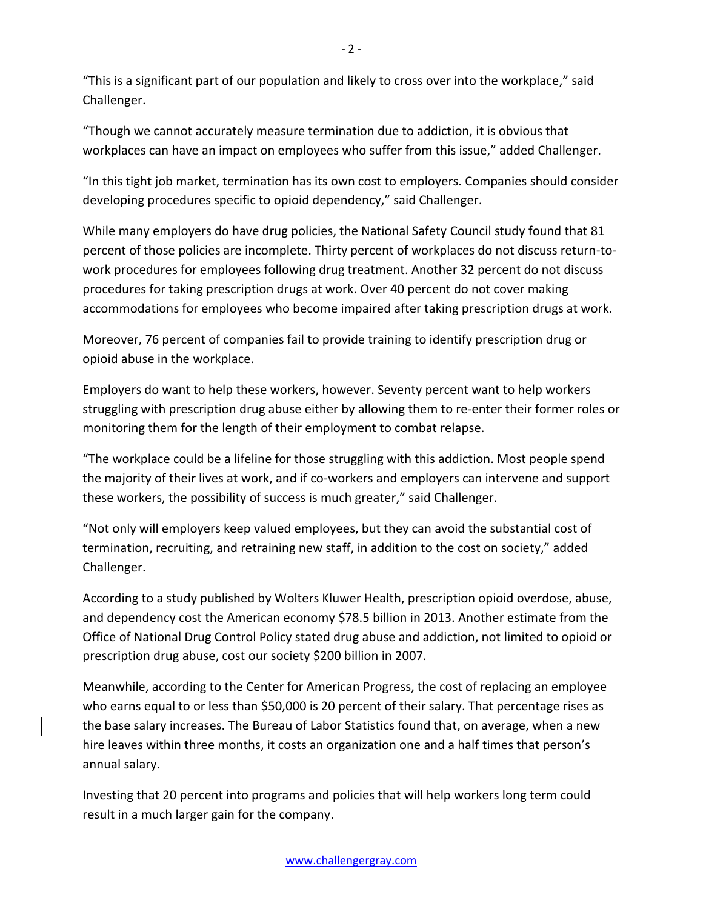"This is a significant part of our population and likely to cross over into the workplace," said Challenger.

"Though we cannot accurately measure termination due to addiction, it is obvious that workplaces can have an impact on employees who suffer from this issue," added Challenger.

"In this tight job market, termination has its own cost to employers. Companies should consider developing procedures specific to opioid dependency," said Challenger.

While many employers do have drug policies, the National Safety Council study found that 81 percent of those policies are incomplete. Thirty percent of workplaces do not discuss return-towork procedures for employees following drug treatment. Another 32 percent do not discuss procedures for taking prescription drugs at work. Over 40 percent do not cover making accommodations for employees who become impaired after taking prescription drugs at work.

Moreover, 76 percent of companies fail to provide training to identify prescription drug or opioid abuse in the workplace.

Employers do want to help these workers, however. Seventy percent want to help workers struggling with prescription drug abuse either by allowing them to re-enter their former roles or monitoring them for the length of their employment to combat relapse.

"The workplace could be a lifeline for those struggling with this addiction. Most people spend the majority of their lives at work, and if co-workers and employers can intervene and support these workers, the possibility of success is much greater," said Challenger.

"Not only will employers keep valued employees, but they can avoid the substantial cost of termination, recruiting, and retraining new staff, in addition to the cost on society," added Challenger.

According to a study published by Wolters Kluwer Health, prescription opioid overdose, abuse, and dependency cost the American economy \$78.5 billion in 2013. Another estimate from the Office of National Drug Control Policy stated drug abuse and addiction, not limited to opioid or prescription drug abuse, cost our society \$200 billion in 2007.

Meanwhile, according to the Center for American Progress, the cost of replacing an employee who earns equal to or less than \$50,000 is 20 percent of their salary. That percentage rises as the base salary increases. The Bureau of Labor Statistics found that, on average, when a new hire leaves within three months, it costs an organization one and a half times that person's annual salary.

Investing that 20 percent into programs and policies that will help workers long term could result in a much larger gain for the company.